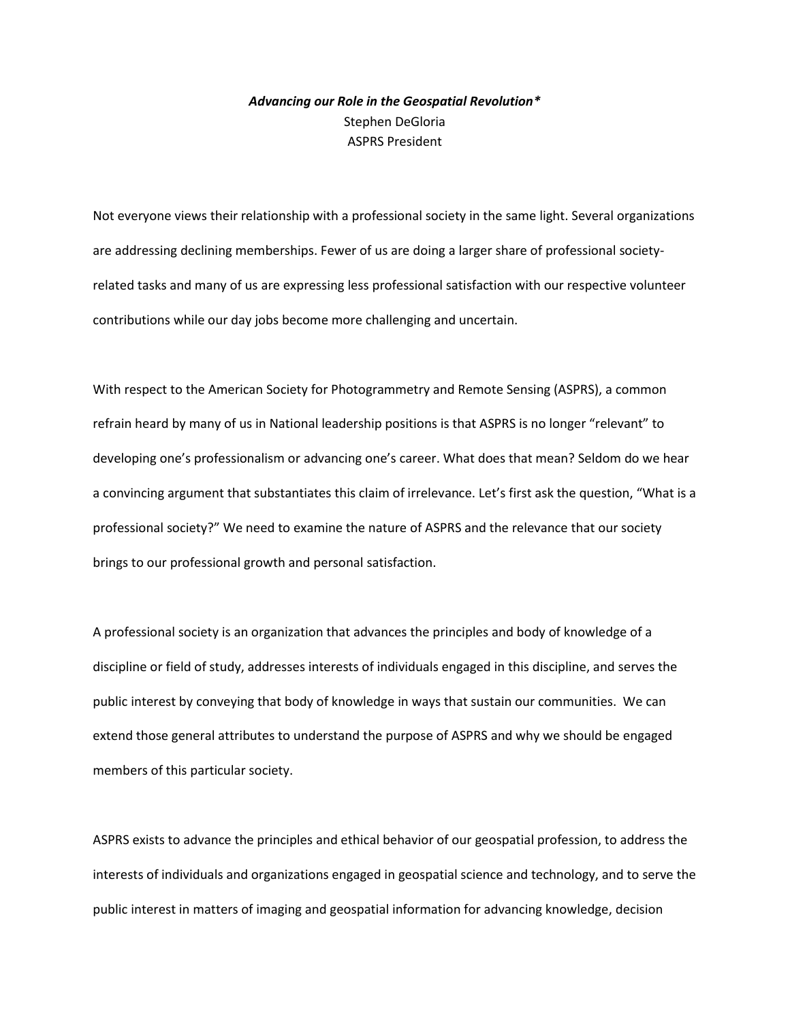# *Advancing our Role in the Geospatial Revolution\** Stephen DeGloria ASPRS President

Not everyone views their relationship with a professional society in the same light. Several organizations are addressing declining memberships. Fewer of us are doing a larger share of professional societyrelated tasks and many of us are expressing less professional satisfaction with our respective volunteer contributions while our day jobs become more challenging and uncertain.

With respect to the American Society for Photogrammetry and Remote Sensing (ASPRS), a common refrain heard by many of us in National leadership positions is that ASPRS is no longer "relevant" to developing one's professionalism or advancing one's career. What does that mean? Seldom do we hear a convincing argument that substantiates this claim of irrelevance. Let's first ask the question, "What is a professional society?" We need to examine the nature of ASPRS and the relevance that our society brings to our professional growth and personal satisfaction.

A professional society is an organization that advances the principles and body of knowledge of a discipline or field of study, addresses interests of individuals engaged in this discipline, and serves the public interest by conveying that body of knowledge in ways that sustain our communities. We can extend those general attributes to understand the purpose of ASPRS and why we should be engaged members of this particular society.

ASPRS exists to advance the principles and ethical behavior of our geospatial profession, to address the interests of individuals and organizations engaged in geospatial science and technology, and to serve the public interest in matters of imaging and geospatial information for advancing knowledge, decision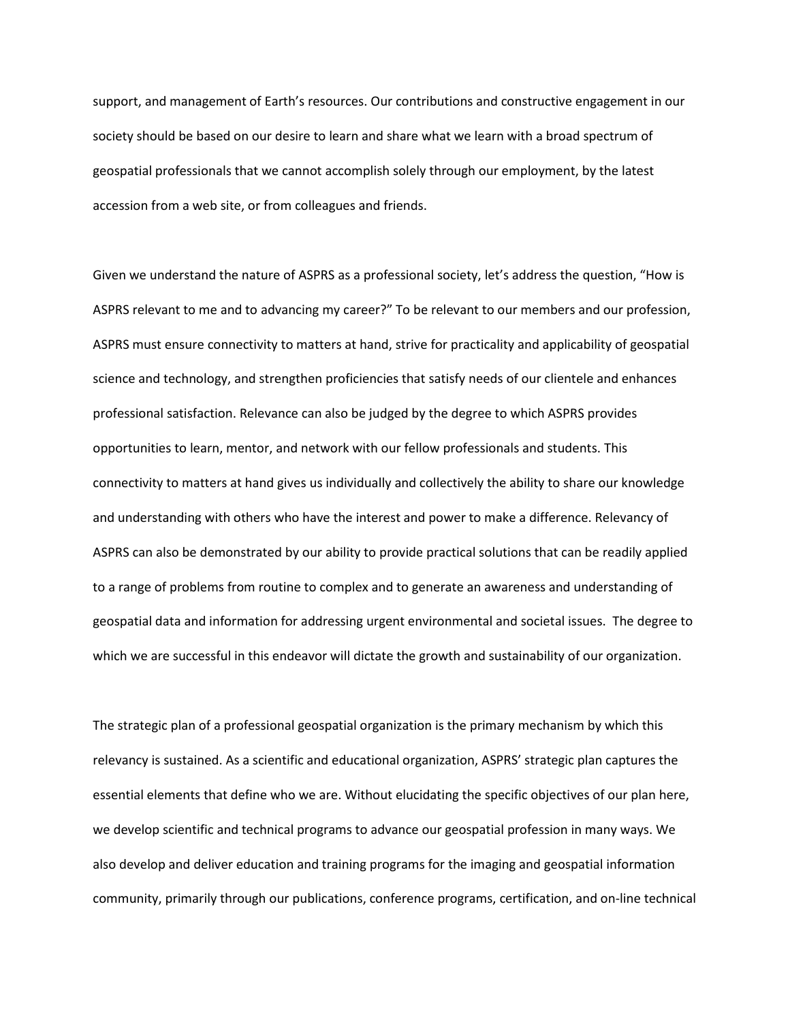support, and management of Earth's resources. Our contributions and constructive engagement in our society should be based on our desire to learn and share what we learn with a broad spectrum of geospatial professionals that we cannot accomplish solely through our employment, by the latest accession from a web site, or from colleagues and friends.

Given we understand the nature of ASPRS as a professional society, let's address the question, "How is ASPRS relevant to me and to advancing my career?" To be relevant to our members and our profession, ASPRS must ensure connectivity to matters at hand, strive for practicality and applicability of geospatial science and technology, and strengthen proficiencies that satisfy needs of our clientele and enhances professional satisfaction. Relevance can also be judged by the degree to which ASPRS provides opportunities to learn, mentor, and network with our fellow professionals and students. This connectivity to matters at hand gives us individually and collectively the ability to share our knowledge and understanding with others who have the interest and power to make a difference. Relevancy of ASPRS can also be demonstrated by our ability to provide practical solutions that can be readily applied to a range of problems from routine to complex and to generate an awareness and understanding of geospatial data and information for addressing urgent environmental and societal issues. The degree to which we are successful in this endeavor will dictate the growth and sustainability of our organization.

The strategic plan of a professional geospatial organization is the primary mechanism by which this relevancy is sustained. As a scientific and educational organization, ASPRS' strategic plan captures the essential elements that define who we are. Without elucidating the specific objectives of our plan here, we develop scientific and technical programs to advance our geospatial profession in many ways. We also develop and deliver education and training programs for the imaging and geospatial information community, primarily through our publications, conference programs, certification, and on-line technical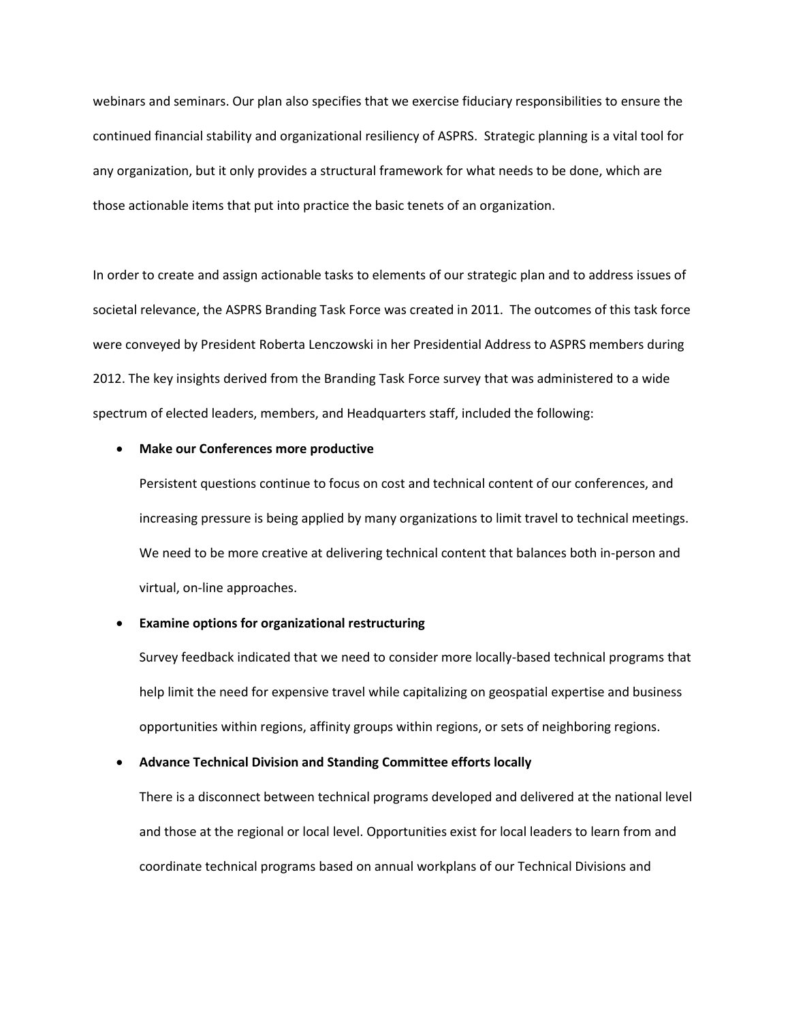webinars and seminars. Our plan also specifies that we exercise fiduciary responsibilities to ensure the continued financial stability and organizational resiliency of ASPRS. Strategic planning is a vital tool for any organization, but it only provides a structural framework for what needs to be done, which are those actionable items that put into practice the basic tenets of an organization.

In order to create and assign actionable tasks to elements of our strategic plan and to address issues of societal relevance, the ASPRS Branding Task Force was created in 2011. The outcomes of this task force were conveyed by President Roberta Lenczowski in her Presidential Address to ASPRS members during 2012. The key insights derived from the Branding Task Force survey that was administered to a wide spectrum of elected leaders, members, and Headquarters staff, included the following:

### **Make our Conferences more productive**

Persistent questions continue to focus on cost and technical content of our conferences, and increasing pressure is being applied by many organizations to limit travel to technical meetings. We need to be more creative at delivering technical content that balances both in-person and virtual, on-line approaches.

## **Examine options for organizational restructuring**

Survey feedback indicated that we need to consider more locally-based technical programs that help limit the need for expensive travel while capitalizing on geospatial expertise and business opportunities within regions, affinity groups within regions, or sets of neighboring regions.

## **Advance Technical Division and Standing Committee efforts locally**

There is a disconnect between technical programs developed and delivered at the national level and those at the regional or local level. Opportunities exist for local leaders to learn from and coordinate technical programs based on annual workplans of our Technical Divisions and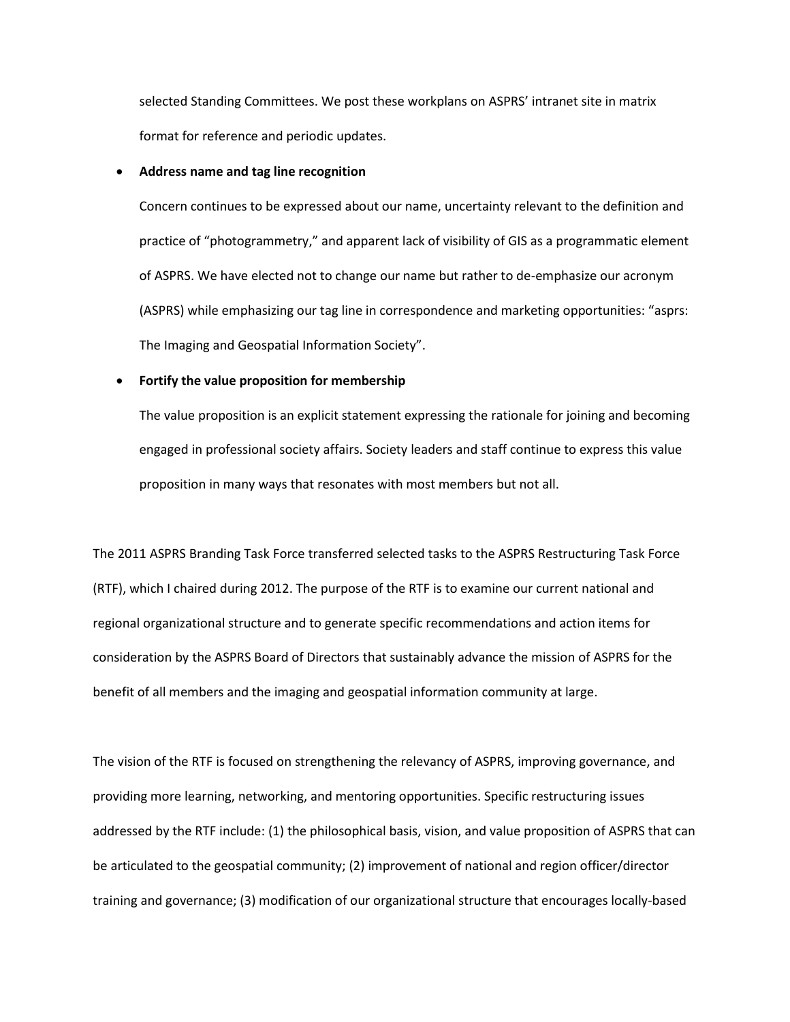selected Standing Committees. We post these workplans on ASPRS' intranet site in matrix format for reference and periodic updates.

### **Address name and tag line recognition**

Concern continues to be expressed about our name, uncertainty relevant to the definition and practice of "photogrammetry," and apparent lack of visibility of GIS as a programmatic element of ASPRS. We have elected not to change our name but rather to de-emphasize our acronym (ASPRS) while emphasizing our tag line in correspondence and marketing opportunities: "asprs: The Imaging and Geospatial Information Society".

#### **Fortify the value proposition for membership**

The value proposition is an explicit statement expressing the rationale for joining and becoming engaged in professional society affairs. Society leaders and staff continue to express this value proposition in many ways that resonates with most members but not all.

The 2011 ASPRS Branding Task Force transferred selected tasks to the ASPRS Restructuring Task Force (RTF), which I chaired during 2012. The purpose of the RTF is to examine our current national and regional organizational structure and to generate specific recommendations and action items for consideration by the ASPRS Board of Directors that sustainably advance the mission of ASPRS for the benefit of all members and the imaging and geospatial information community at large.

The vision of the RTF is focused on strengthening the relevancy of ASPRS, improving governance, and providing more learning, networking, and mentoring opportunities. Specific restructuring issues addressed by the RTF include: (1) the philosophical basis, vision, and value proposition of ASPRS that can be articulated to the geospatial community; (2) improvement of national and region officer/director training and governance; (3) modification of our organizational structure that encourages locally-based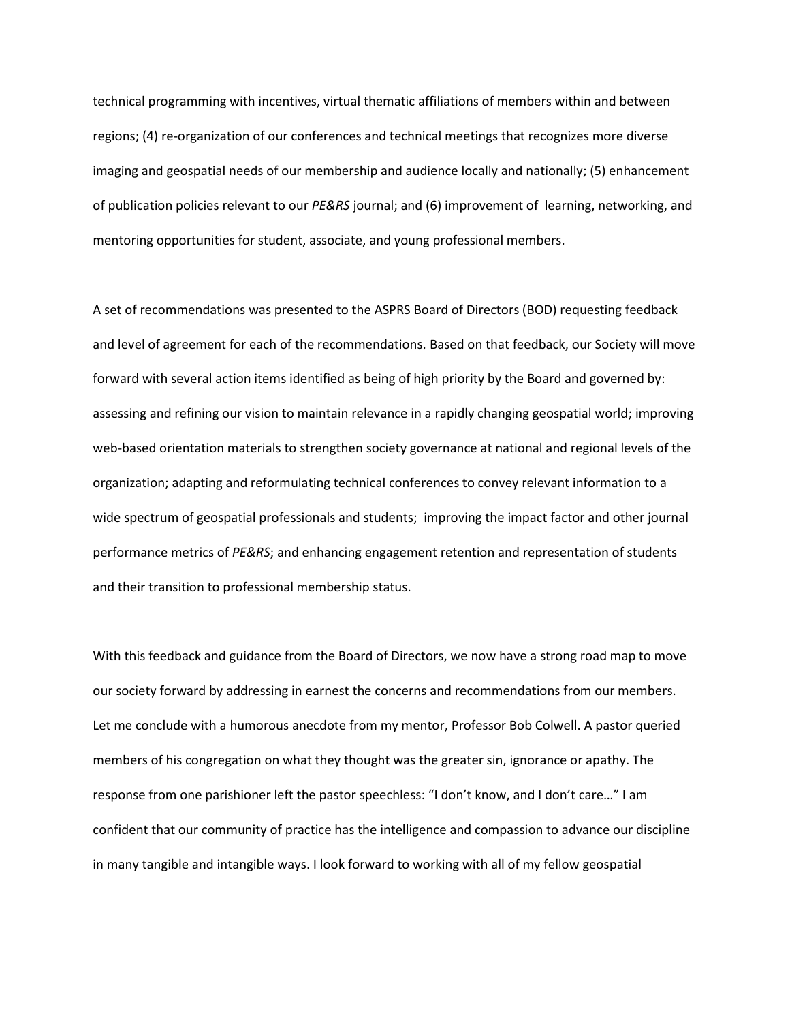technical programming with incentives, virtual thematic affiliations of members within and between regions; (4) re-organization of our conferences and technical meetings that recognizes more diverse imaging and geospatial needs of our membership and audience locally and nationally; (5) enhancement of publication policies relevant to our *PE&RS* journal; and (6) improvement of learning, networking, and mentoring opportunities for student, associate, and young professional members.

A set of recommendations was presented to the ASPRS Board of Directors (BOD) requesting feedback and level of agreement for each of the recommendations. Based on that feedback, our Society will move forward with several action items identified as being of high priority by the Board and governed by: assessing and refining our vision to maintain relevance in a rapidly changing geospatial world; improving web-based orientation materials to strengthen society governance at national and regional levels of the organization; adapting and reformulating technical conferences to convey relevant information to a wide spectrum of geospatial professionals and students; improving the impact factor and other journal performance metrics of *PE&RS*; and enhancing engagement retention and representation of students and their transition to professional membership status.

With this feedback and guidance from the Board of Directors, we now have a strong road map to move our society forward by addressing in earnest the concerns and recommendations from our members. Let me conclude with a humorous anecdote from my mentor, Professor Bob Colwell. A pastor queried members of his congregation on what they thought was the greater sin, ignorance or apathy. The response from one parishioner left the pastor speechless: "I don't know, and I don't care…" I am confident that our community of practice has the intelligence and compassion to advance our discipline in many tangible and intangible ways. I look forward to working with all of my fellow geospatial